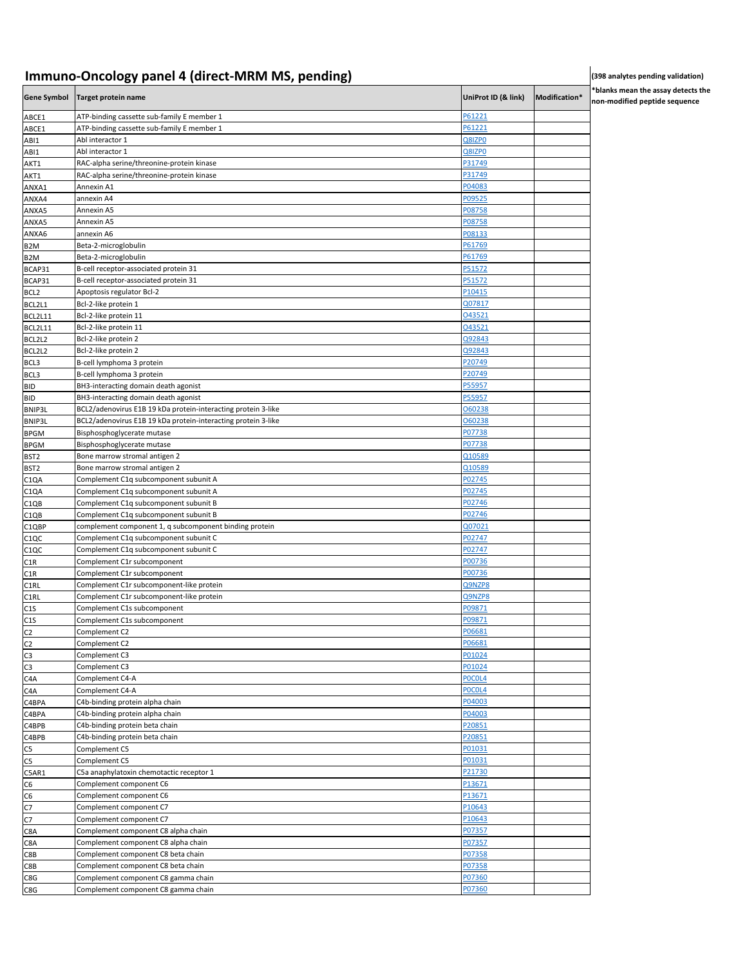## **Immuno-Oncology panel 4 (direct-MRM MS, pending) and the set of the set of the second (398 analytes pending validation)**

**\*blanks mean the assay detects the n-modified peptide sequence** 

|                                 | Gene Symbol Target protein name                                | UniProt ID (& link) | Modification* | ™ '<br>nor |
|---------------------------------|----------------------------------------------------------------|---------------------|---------------|------------|
| ABCE1                           | ATP-binding cassette sub-family E member 1                     | P61221              |               |            |
| ABCE1                           | ATP-binding cassette sub-family E member 1                     | P61221              |               |            |
| ABI1                            | Abl interactor 1                                               | Q8IZP0              |               |            |
| ABI1                            | Abl interactor 1                                               | Q8IZP0              |               |            |
| AKT1                            | RAC-alpha serine/threonine-protein kinase                      | P31749              |               |            |
| AKT1                            | RAC-alpha serine/threonine-protein kinase                      | P31749              |               |            |
| ANXA1                           | Annexin A1                                                     | P04083              |               |            |
| ANXA4                           | annexin A4                                                     | P09525<br>P08758    |               |            |
| ANXA5<br>ANXA5                  | Annexin A5<br>Annexin A5                                       | P08758              |               |            |
| ANXA6                           | annexin A6                                                     | P08133              |               |            |
| B <sub>2</sub> M                | Beta-2-microglobulin                                           | P61769              |               |            |
| B <sub>2</sub> M                | Beta-2-microglobulin                                           | P61769              |               |            |
| BCAP31                          | B-cell receptor-associated protein 31                          | P51572              |               |            |
| BCAP31                          | B-cell receptor-associated protein 31                          | P51572              |               |            |
| BCL <sub>2</sub>                | Apoptosis regulator Bcl-2                                      | P10415              |               |            |
| BCL2L1                          | Bcl-2-like protein 1                                           | Q07817              |               |            |
| BCL2L11                         | Bcl-2-like protein 11                                          | 043521              |               |            |
| BCL2L11                         | Bcl-2-like protein 11                                          | 043521              |               |            |
| BCL2L2                          | Bcl-2-like protein 2                                           | Q92843              |               |            |
| BCL2L2                          | Bcl-2-like protein 2                                           | Q92843              |               |            |
| BCL3                            | B-cell lymphoma 3 protein                                      | P20749              |               |            |
| BCL3                            | B-cell lymphoma 3 protein                                      | P20749              |               |            |
| <b>BID</b>                      | BH3-interacting domain death agonist                           | P55957              |               |            |
| BID                             | BH3-interacting domain death agonist                           | P55957              |               |            |
| BNIP3L                          | BCL2/adenovirus E1B 19 kDa protein-interacting protein 3-like  | 060238              |               |            |
| <b>BNIP3L</b>                   | BCL2/adenovirus E1B 19 kDa protein-interacting protein 3-like  | 060238<br>P07738    |               |            |
| <b>BPGM</b>                     | Bisphosphoglycerate mutase<br>Bisphosphoglycerate mutase       | P07738              |               |            |
| <b>BPGM</b><br>BST <sub>2</sub> | Bone marrow stromal antigen 2                                  | Q10589              |               |            |
| BST <sub>2</sub>                | Bone marrow stromal antigen 2                                  | Q10589              |               |            |
| C1QA                            | Complement C1q subcomponent subunit A                          | P02745              |               |            |
| C <sub>1</sub> QA               | Complement C1q subcomponent subunit A                          | P02745              |               |            |
| C1QB                            | Complement C1q subcomponent subunit B                          | P02746              |               |            |
| C1QB                            | Complement C1q subcomponent subunit B                          | P02746              |               |            |
| C1QBP                           | complement component 1, q subcomponent binding protein         | 007021              |               |            |
| C <sub>1</sub> QC               | Complement C1q subcomponent subunit C                          | P02747              |               |            |
| C <sub>1</sub> QC               | Complement C1q subcomponent subunit C                          | P02747              |               |            |
| C1R                             | Complement C1r subcomponent                                    | P00736              |               |            |
| C1R                             | Complement C1r subcomponent                                    | P00736              |               |            |
| C1RL                            | Complement C1r subcomponent-like protein                       | Q9NZP8              |               |            |
| C1RL                            | Complement C1r subcomponent-like protein                       | Q9NZP8              |               |            |
| C1S                             | Complement C1s subcomponent                                    | P09871              |               |            |
| C1S<br>C <sub>2</sub>           | Complement C1s subcomponent<br>Complement C2                   | P09871<br>P06681    |               |            |
| C <sub>2</sub>                  | Complement C2                                                  | P06681              |               |            |
| C3                              | Complement C3                                                  | P01024              |               |            |
| C3                              | Complement C3                                                  | P01024              |               |            |
| C <sub>4</sub> A                | Complement C4-A                                                | POCOL4              |               |            |
| C4A                             | Complement C4-A                                                | POCOL4              |               |            |
| C4BPA                           | C4b-binding protein alpha chain                                | P04003              |               |            |
| C4BPA                           | C4b-binding protein alpha chain                                | P04003              |               |            |
| C4BPB                           | C4b-binding protein beta chain                                 | P20851              |               |            |
| C4BPB                           | C4b-binding protein beta chain                                 | P20851              |               |            |
| C5                              | Complement C5                                                  | P01031              |               |            |
| C <sub>5</sub>                  | Complement C5                                                  | P01031              |               |            |
| C5AR1                           | C5a anaphylatoxin chemotactic receptor 1                       | P21730              |               |            |
| C6                              | Complement component C6                                        | P13671              |               |            |
| C6                              | Complement component C6                                        | P13671              |               |            |
| C7                              | Complement component C7                                        | P10643              |               |            |
| C7                              | Complement component C7<br>Complement component C8 alpha chain | P10643              |               |            |
| C8A<br>C8A                      | Complement component C8 alpha chain                            | P07357<br>P07357    |               |            |
| C8B                             | Complement component C8 beta chain                             | P07358              |               |            |
| C8B                             | Complement component C8 beta chain                             | P07358              |               |            |
| C8G                             | Complement component C8 gamma chain                            | P07360              |               |            |
| C8G                             | Complement component C8 gamma chain                            | P07360              |               |            |
|                                 |                                                                |                     |               |            |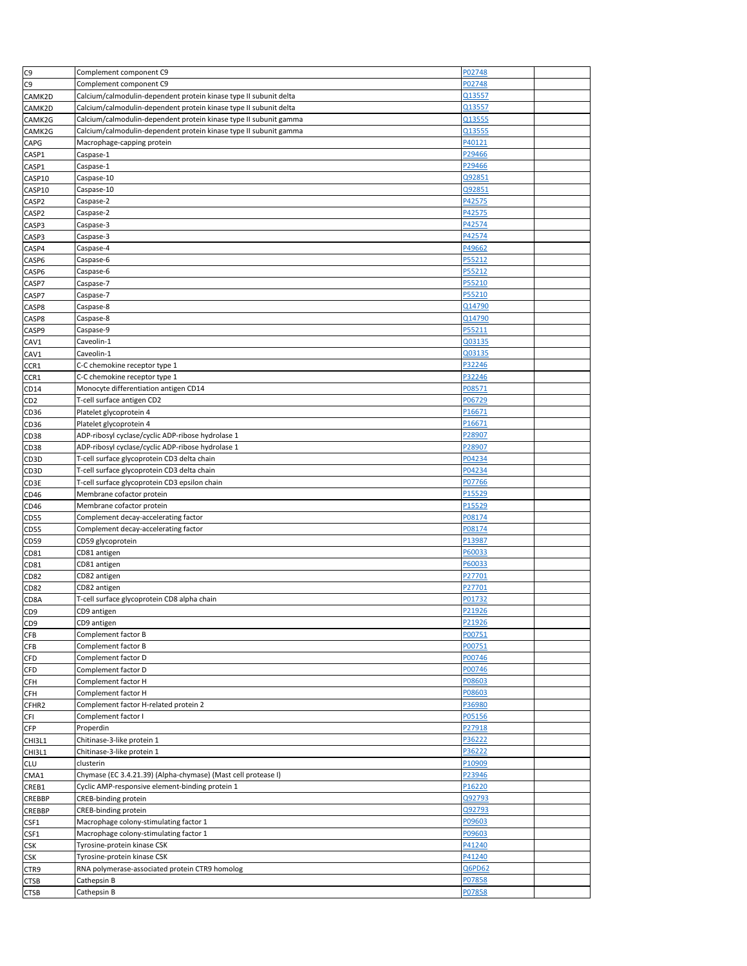| C <sub>9</sub>  | Complement component C9                                           | P02748 |  |
|-----------------|-------------------------------------------------------------------|--------|--|
| C <sub>9</sub>  | Complement component C9                                           | P02748 |  |
| CAMK2D          | Calcium/calmodulin-dependent protein kinase type II subunit delta | Q13557 |  |
| CAMK2D          | Calcium/calmodulin-dependent protein kinase type II subunit delta | Q13557 |  |
| CAMK2G          | Calcium/calmodulin-dependent protein kinase type II subunit gamma | Q13555 |  |
|                 |                                                                   |        |  |
| CAMK2G          | Calcium/calmodulin-dependent protein kinase type II subunit gamma | Q13555 |  |
| CAPG            | Macrophage-capping protein                                        | P40121 |  |
| CASP1           | Caspase-1                                                         | P29466 |  |
| CASP1           | Caspase-1                                                         | P29466 |  |
| CASP10          | Caspase-10                                                        | Q92851 |  |
|                 | Caspase-10                                                        | Q92851 |  |
| CASP10          |                                                                   |        |  |
| CASP2           | Caspase-2                                                         | P42575 |  |
| CASP2           | Caspase-2                                                         | P42575 |  |
| CASP3           | Caspase-3                                                         | P42574 |  |
| CASP3           | Caspase-3                                                         | P42574 |  |
|                 | Caspase-4                                                         | P49662 |  |
| CASP4           |                                                                   |        |  |
| CASP6           | Caspase-6                                                         | P55212 |  |
| CASP6           | Caspase-6                                                         | P55212 |  |
| CASP7           | Caspase-7                                                         | P55210 |  |
| CASP7           | Caspase-7                                                         | P55210 |  |
|                 | Caspase-8                                                         | Q14790 |  |
| CASP8           |                                                                   |        |  |
| CASP8           | Caspase-8                                                         | Q14790 |  |
| CASP9           | Caspase-9                                                         | P55211 |  |
| CAV1            | Caveolin-1                                                        | Q03135 |  |
| CAV1            | Caveolin-1                                                        | Q03135 |  |
| CCR1            | C-C chemokine receptor type 1                                     | P32246 |  |
|                 | C-C chemokine receptor type 1                                     | P32246 |  |
| CCR1            |                                                                   |        |  |
| CD14            | Monocyte differentiation antigen CD14                             | P08571 |  |
| CD2             | T-cell surface antigen CD2                                        | P06729 |  |
| CD36            | Platelet glycoprotein 4                                           | P16671 |  |
| CD36            | Platelet glycoprotein 4                                           | P16671 |  |
| CD38            | ADP-ribosyl cyclase/cyclic ADP-ribose hydrolase 1                 | P28907 |  |
|                 |                                                                   |        |  |
| CD38            | ADP-ribosyl cyclase/cyclic ADP-ribose hydrolase 1                 | P28907 |  |
| CD3D            | T-cell surface glycoprotein CD3 delta chain                       | P04234 |  |
| CD3D            | T-cell surface glycoprotein CD3 delta chain                       | P04234 |  |
| CD3E            | T-cell surface glycoprotein CD3 epsilon chain                     | P07766 |  |
| CD46            | Membrane cofactor protein                                         | P15529 |  |
|                 |                                                                   | P15529 |  |
| CD46            | Membrane cofactor protein                                         |        |  |
| CD55            | Complement decay-accelerating factor                              | P08174 |  |
| CD55            | Complement decay-accelerating factor                              | P08174 |  |
| CD59            | CD59 glycoprotein                                                 | P13987 |  |
| CD81            | CD81 antigen                                                      | P60033 |  |
|                 |                                                                   | P60033 |  |
| CD81            | CD81 antigen                                                      |        |  |
| CD82            | CD82 antigen                                                      | P27701 |  |
| CD82            | CD82 antigen                                                      | P27701 |  |
| CD8A            | T-cell surface glycoprotein CD8 alpha chain                       | P01732 |  |
| CD <sub>9</sub> | CD9 antigen                                                       | P21926 |  |
| CD <sub>9</sub> | CD9 antigen                                                       | P21926 |  |
|                 |                                                                   |        |  |
| <b>CFB</b>      | Complement factor B                                               | P00751 |  |
| <b>CFB</b>      | Complement factor B                                               | P00751 |  |
| <b>CFD</b>      | Complement factor D                                               | P00746 |  |
| CFD             | Complement factor D                                               | P00746 |  |
| <b>CFH</b>      | Complement factor H                                               | P08603 |  |
|                 | Complement factor H                                               | P08603 |  |
| CFH             |                                                                   |        |  |
| CFHR2           | Complement factor H-related protein 2                             | P36980 |  |
| CFI             | Complement factor I                                               | P05156 |  |
| <b>CFP</b>      | Properdin                                                         | P27918 |  |
| CHI3L1          | Chitinase-3-like protein 1                                        | P36222 |  |
|                 | Chitinase-3-like protein 1                                        | P36222 |  |
| CHI3L1          |                                                                   |        |  |
| CLU             | clusterin                                                         | P10909 |  |
| CMA1            | Chymase (EC 3.4.21.39) (Alpha-chymase) (Mast cell protease I)     | P23946 |  |
| CREB1           | Cyclic AMP-responsive element-binding protein 1                   | P16220 |  |
| CREBBP          | CREB-binding protein                                              | Q92793 |  |
| CREBBP          | CREB-binding protein                                              | Q92793 |  |
|                 |                                                                   |        |  |
| CSF1            | Macrophage colony-stimulating factor 1                            | P09603 |  |
| CSF1            | Macrophage colony-stimulating factor 1                            | P09603 |  |
| CSK             | Tyrosine-protein kinase CSK                                       | P41240 |  |
| CSK             | Tyrosine-protein kinase CSK                                       | P41240 |  |
| CTR9            | RNA polymerase-associated protein CTR9 homolog                    | Q6PD62 |  |
|                 |                                                                   |        |  |
| CTSB            | Cathepsin B                                                       | P07858 |  |
| <b>CTSB</b>     | Cathepsin B                                                       | P07858 |  |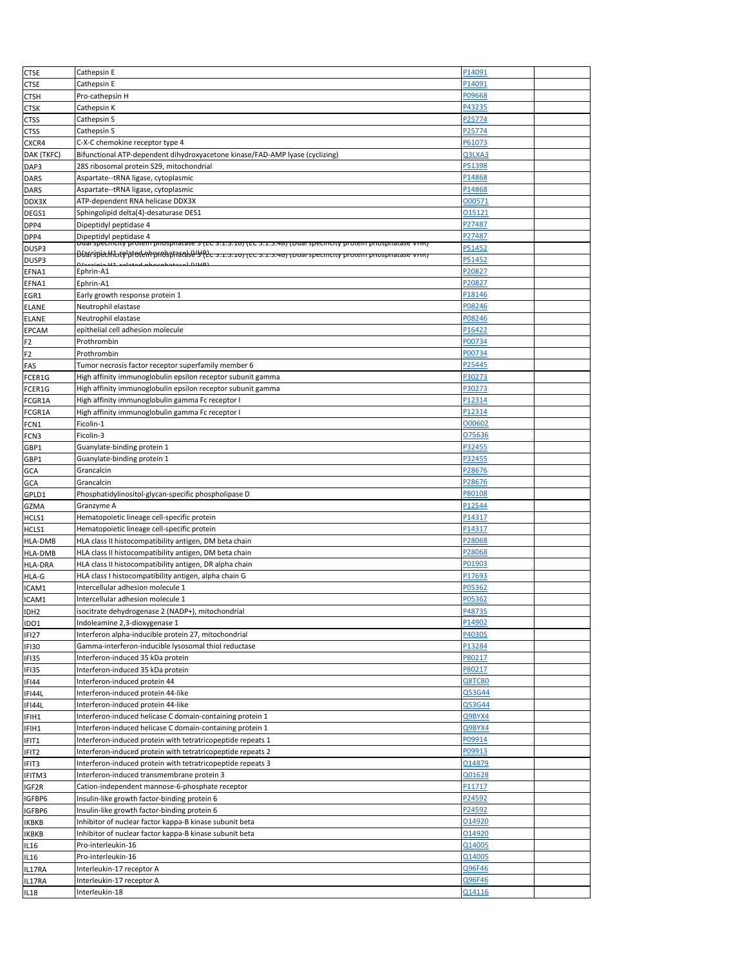| <b>CTSE</b>    | Cathepsin E                                                                                                                                     | P14091         |  |
|----------------|-------------------------------------------------------------------------------------------------------------------------------------------------|----------------|--|
| CTSE           | Cathepsin E                                                                                                                                     | P14091         |  |
| CTSH           | Pro-cathepsin H                                                                                                                                 | P09668         |  |
| CTSK           | Cathepsin K                                                                                                                                     | P43235         |  |
| <b>CTSS</b>    | Cathepsin S                                                                                                                                     | P25774         |  |
| <b>CTSS</b>    | Cathepsin S                                                                                                                                     | P25774         |  |
| CXCR4          | C-X-C chemokine receptor type 4                                                                                                                 | P61073         |  |
| DAK (TKFC)     | Bifunctional ATP-dependent dihydroxyacetone kinase/FAD-AMP lyase (cyclizing)                                                                    | Q3LXA3         |  |
| DAP3           | 28S ribosomal protein S29, mitochondrial                                                                                                        | P51398         |  |
| DARS           | Aspartate--tRNA ligase, cytoplasmic                                                                                                             | P14868         |  |
| DARS           | Aspartate--tRNA ligase, cytoplasmic                                                                                                             | P14868         |  |
|                | ATP-dependent RNA helicase DDX3X                                                                                                                | 000571         |  |
| DDX3X          |                                                                                                                                                 |                |  |
| DEGS1          | Sphingolipid delta(4)-desaturase DES1                                                                                                           | 015121         |  |
| DPP4           | Dipeptidyl peptidase 4                                                                                                                          | P27487         |  |
| DPP4           | Dipeptidyl peptidase 4<br><u>Duar specificity protein phosphatase 3 (EC 3.1.3.16) (EC 3.1.3.48) (Duar specificity protein phosphatase vink)</u> | P27487         |  |
| DUSP3          | blianspiechluty proden'r pridspinarase 's felu s. 1. 3. 16) (eu s. 1. 3. 48) (Duar specificity protein priospinatase vink)                      | P51452         |  |
| DUSP3          | ad phocphatacol (VILID                                                                                                                          | P51452         |  |
| EFNA1          | Ephrin-A1                                                                                                                                       | P20827         |  |
| EFNA1          | Ephrin-A1                                                                                                                                       | P20827         |  |
| EGR1           | Early growth response protein 1                                                                                                                 | P18146         |  |
| ELANE          | Neutrophil elastase                                                                                                                             | P08246         |  |
| <b>ELANE</b>   | Neutrophil elastase                                                                                                                             | P08246         |  |
| EPCAM          | epithelial cell adhesion molecule                                                                                                               | P16422         |  |
| F2             | Prothrombin                                                                                                                                     | P00734         |  |
| F2             | Prothrombin                                                                                                                                     | P00734         |  |
| FAS            | Tumor necrosis factor receptor superfamily member 6                                                                                             | P25445         |  |
| FCER1G         | High affinity immunoglobulin epsilon receptor subunit gamma                                                                                     | P30273         |  |
| FCER1G         | High affinity immunoglobulin epsilon receptor subunit gamma                                                                                     | P30273         |  |
| FCGR1A         | High affinity immunoglobulin gamma Fc receptor I                                                                                                | P12314         |  |
| FCGR1A         | High affinity immunoglobulin gamma Fc receptor I                                                                                                | P12314         |  |
| FCN1           | Ficolin-1                                                                                                                                       | 000602         |  |
| FCN3           | Ficolin-3                                                                                                                                       | 075636         |  |
|                |                                                                                                                                                 |                |  |
| GBP1           | Guanylate-binding protein 1                                                                                                                     | P32455         |  |
| GBP1           | Guanylate-binding protein 1                                                                                                                     | P32455         |  |
| GCA            | Grancalcin                                                                                                                                      | P28676         |  |
| GCA            | Grancalcin                                                                                                                                      | <u> P28676</u> |  |
| GPLD1          | Phosphatidylinositol-glycan-specific phospholipase D                                                                                            | P80108         |  |
| GZMA           | Granzyme A                                                                                                                                      | P12544         |  |
| HCLS1          | Hematopoietic lineage cell-specific protein                                                                                                     | P14317         |  |
| HCLS1          | Hematopoietic lineage cell-specific protein                                                                                                     | P14317         |  |
| HLA-DMB        | HLA class II histocompatibility antigen, DM beta chain                                                                                          | P28068         |  |
| HLA-DMB        | HLA class II histocompatibility antigen, DM beta chain                                                                                          | P28068         |  |
| <b>HLA-DRA</b> | HLA class II histocompatibility antigen, DR alpha chain                                                                                         | P01903         |  |
| HLA-G          | HLA class I histocompatibility antigen, alpha chain G                                                                                           | P17693         |  |
| ICAM1          | Intercellular adhesion molecule 1                                                                                                               | P05362         |  |
| ICAM1          | Intercellular adhesion molecule 1                                                                                                               | <u> PO5362</u> |  |
| IDH2           | isocitrate dehydrogenase 2 (NADP+), mitochondrial                                                                                               | <b>P48735</b>  |  |
| IDO1           | Indoleamine 2,3-dioxygenase 1                                                                                                                   | P14902         |  |
| IFI27          | Interferon alpha-inducible protein 27, mitochondrial                                                                                            | P40305         |  |
| IFI30          | Gamma-interferon-inducible lysosomal thiol reductase                                                                                            | P13284         |  |
| IFI35          | Interferon-induced 35 kDa protein                                                                                                               | <u> P80217</u> |  |
| IFI35          | Interferon-induced 35 kDa protein                                                                                                               | P80217         |  |
| IFI44          | Interferon-induced protein 44                                                                                                                   | Q8TCB0         |  |
| IFI44L         | Interferon-induced protein 44-like                                                                                                              | Q53G44         |  |
| IFI44L         | Interferon-induced protein 44-like                                                                                                              | Q53G44         |  |
|                | Interferon-induced helicase C domain-containing protein 1                                                                                       | Q9BYX4         |  |
| IFIH1          | Interferon-induced helicase C domain-containing protein 1                                                                                       | Q9BYX4         |  |
| IFIH1          |                                                                                                                                                 |                |  |
| IFIT1          | Interferon-induced protein with tetratricopeptide repeats 1                                                                                     | P09914         |  |
| IFIT2          | Interferon-induced protein with tetratricopeptide repeats 2                                                                                     | P09913         |  |
| IFIT3          | Interferon-induced protein with tetratricopeptide repeats 3                                                                                     | 014879         |  |
| IFITM3         | Interferon-induced transmembrane protein 3                                                                                                      | <u>Q01628</u>  |  |
| IGF2R          | Cation-independent mannose-6-phosphate receptor                                                                                                 | P11717         |  |
| IGFBP6         | Insulin-like growth factor-binding protein 6                                                                                                    | P24592         |  |
| IGFBP6         | Insulin-like growth factor-binding protein 6                                                                                                    | P24592         |  |
| IKBKB          | Inhibitor of nuclear factor kappa-B kinase subunit beta                                                                                         | 014920         |  |
| IKBKB          | Inhibitor of nuclear factor kappa-B kinase subunit beta                                                                                         | 014920         |  |
| IL16           | Pro-interleukin-16                                                                                                                              | Q14005         |  |
| IL16           | Pro-interleukin-16                                                                                                                              | Q14005         |  |
| IL17RA         | Interleukin-17 receptor A                                                                                                                       | Q96F46         |  |
| IL17RA         | Interleukin-17 receptor A                                                                                                                       | Q96F46         |  |
| <b>IL18</b>    | Interleukin-18                                                                                                                                  | Q14116         |  |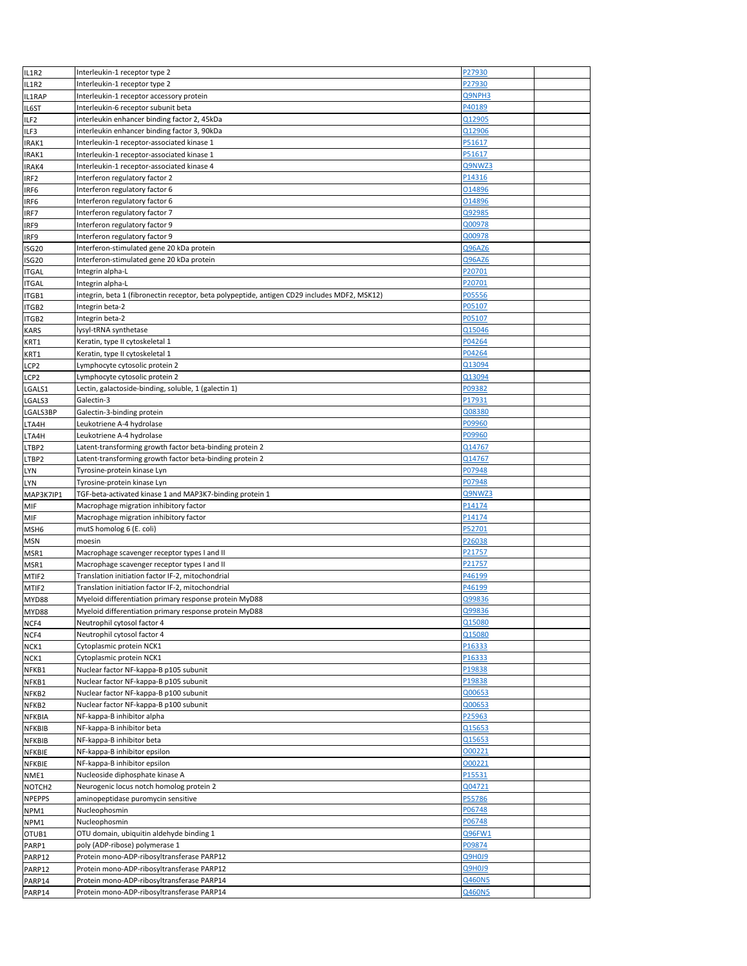| IL1R2              | Interleukin-1 receptor type 2                                                                | P27930 |  |
|--------------------|----------------------------------------------------------------------------------------------|--------|--|
| IL1R2              | Interleukin-1 receptor type 2                                                                | P27930 |  |
| IL1RAP             | Interleukin-1 receptor accessory protein                                                     | Q9NPH3 |  |
|                    | Interleukin-6 receptor subunit beta                                                          | P40189 |  |
| IL6ST              |                                                                                              |        |  |
| ILF <sub>2</sub>   | interleukin enhancer binding factor 2, 45kDa                                                 | Q12905 |  |
| ILF3               | interleukin enhancer binding factor 3, 90kDa                                                 | Q12906 |  |
| IRAK1              | Interleukin-1 receptor-associated kinase 1                                                   | P51617 |  |
| IRAK1              | Interleukin-1 receptor-associated kinase 1                                                   | P51617 |  |
|                    | Interleukin-1 receptor-associated kinase 4                                                   | Q9NWZ3 |  |
| IRAK4              |                                                                                              |        |  |
| IRF2               | Interferon regulatory factor 2                                                               | P14316 |  |
| IRF6               | Interferon regulatory factor 6                                                               | 014896 |  |
| IRF6               | Interferon regulatory factor 6                                                               | 014896 |  |
| IRF7               | Interferon regulatory factor 7                                                               | Q92985 |  |
|                    | Interferon regulatory factor 9                                                               | Q00978 |  |
| IRF9               |                                                                                              |        |  |
| IRF9               | Interferon regulatory factor 9                                                               | Q00978 |  |
| ISG20              | Interferon-stimulated gene 20 kDa protein                                                    | Q96AZ6 |  |
| ISG20              | Interferon-stimulated gene 20 kDa protein                                                    | Q96AZ6 |  |
| <b>ITGAL</b>       | Integrin alpha-L                                                                             | P20701 |  |
|                    |                                                                                              |        |  |
| <b>ITGAL</b>       | Integrin alpha-L                                                                             | P20701 |  |
| ITGB1              | integrin, beta 1 (fibronectin receptor, beta polypeptide, antigen CD29 includes MDF2, MSK12) | P05556 |  |
| ITGB2              | Integrin beta-2                                                                              | P05107 |  |
| ITGB2              | Integrin beta-2                                                                              | P05107 |  |
| KARS               | lysyl-tRNA synthetase                                                                        | Q15046 |  |
|                    |                                                                                              |        |  |
| KRT1               | Keratin, type II cytoskeletal 1                                                              | P04264 |  |
| KRT1               | Keratin, type II cytoskeletal 1                                                              | P04264 |  |
| LCP2               | Lymphocyte cytosolic protein 2                                                               | 013094 |  |
| LCP2               | Lymphocyte cytosolic protein 2                                                               | Q13094 |  |
|                    | Lectin, galactoside-binding, soluble, 1 (galectin 1)                                         | P09382 |  |
| LGALS1             |                                                                                              |        |  |
| LGALS3             | Galectin-3                                                                                   | P17931 |  |
| LGALS3BP           | Galectin-3-binding protein                                                                   | Q08380 |  |
| LTA4H              | Leukotriene A-4 hydrolase                                                                    | P09960 |  |
| LTA4H              | Leukotriene A-4 hydrolase                                                                    | P09960 |  |
|                    |                                                                                              | Q14767 |  |
| LTBP2              | Latent-transforming growth factor beta-binding protein 2                                     |        |  |
| LTBP2              | Latent-transforming growth factor beta-binding protein 2                                     | Q14767 |  |
| LYN                | Tyrosine-protein kinase Lyn                                                                  | P07948 |  |
| LYN                | Tyrosine-protein kinase Lyn                                                                  | P07948 |  |
| MAP3K7IP1          | TGF-beta-activated kinase 1 and MAP3K7-binding protein 1                                     | Q9NWZ3 |  |
|                    |                                                                                              |        |  |
| MIF                | Macrophage migration inhibitory factor                                                       | P14174 |  |
| MIF                | Macrophage migration inhibitory factor                                                       | P14174 |  |
|                    | mutS homolog 6 (E. coli)                                                                     |        |  |
| MSH6               |                                                                                              | P52701 |  |
|                    | moesin                                                                                       | P26038 |  |
| MSN                |                                                                                              |        |  |
| MSR1               | Macrophage scavenger receptor types I and II                                                 | P21757 |  |
| MSR1               | Macrophage scavenger receptor types I and II                                                 | P21757 |  |
| MTIF2              | Translation initiation factor IF-2, mitochondrial                                            | P46199 |  |
| MTIF2              | Translation initiation factor IF-2, mitochondrial                                            | P46199 |  |
|                    |                                                                                              | Q99836 |  |
| MYD88              | Myeloid differentiation primary response protein MyD88                                       |        |  |
| MYD88              | Myeloid differentiation primary response protein MyD88                                       | Q99836 |  |
| NCF4               | Neutrophil cytosol factor 4                                                                  | Q15080 |  |
| NCF4               | Neutrophil cytosol factor 4                                                                  | Q15080 |  |
| NCK1               | Cytoplasmic protein NCK1                                                                     | P16333 |  |
| NCK1               | Cytoplasmic protein NCK1                                                                     | P16333 |  |
|                    |                                                                                              |        |  |
| NFKB1              | Nuclear factor NF-kappa-B p105 subunit                                                       | P19838 |  |
| NFKB1              | Nuclear factor NF-kappa-B p105 subunit                                                       | P19838 |  |
| NFKB2              | Nuclear factor NF-kappa-B p100 subunit                                                       | Q00653 |  |
| NFKB2              | Nuclear factor NF-kappa-B p100 subunit                                                       | Q00653 |  |
| NFKBIA             | NF-kappa-B inhibitor alpha                                                                   | P25963 |  |
|                    |                                                                                              |        |  |
| NFKBIB             | NF-kappa-B inhibitor beta                                                                    | Q15653 |  |
| NFKBIB             | NF-kappa-B inhibitor beta                                                                    | Q15653 |  |
| NFKBIE             | NF-kappa-B inhibitor epsilon                                                                 | 000221 |  |
| NFKBIE             | NF-kappa-B inhibitor epsilon                                                                 | 000221 |  |
| NME1               | Nucleoside diphosphate kinase A                                                              | P15531 |  |
|                    |                                                                                              |        |  |
| NOTCH <sub>2</sub> | Neurogenic locus notch homolog protein 2                                                     | Q04721 |  |
| <b>NPEPPS</b>      | aminopeptidase puromycin sensitive                                                           | P55786 |  |
| NPM1               | Nucleophosmin                                                                                | P06748 |  |
| NPM1               | Nucleophosmin                                                                                | P06748 |  |
| OTUB1              | OTU domain, ubiquitin aldehyde binding 1                                                     | Q96FW1 |  |
|                    |                                                                                              |        |  |
| PARP1              | poly (ADP-ribose) polymerase 1                                                               | P09874 |  |
| PARP12             | Protein mono-ADP-ribosyltransferase PARP12                                                   | Q9H0J9 |  |
| PARP12             | Protein mono-ADP-ribosyltransferase PARP12                                                   | Q9H0J9 |  |
| PARP14             | Protein mono-ADP-ribosyltransferase PARP14                                                   | Q460N5 |  |
| PARP14             | Protein mono-ADP-ribosyltransferase PARP14                                                   | Q460N5 |  |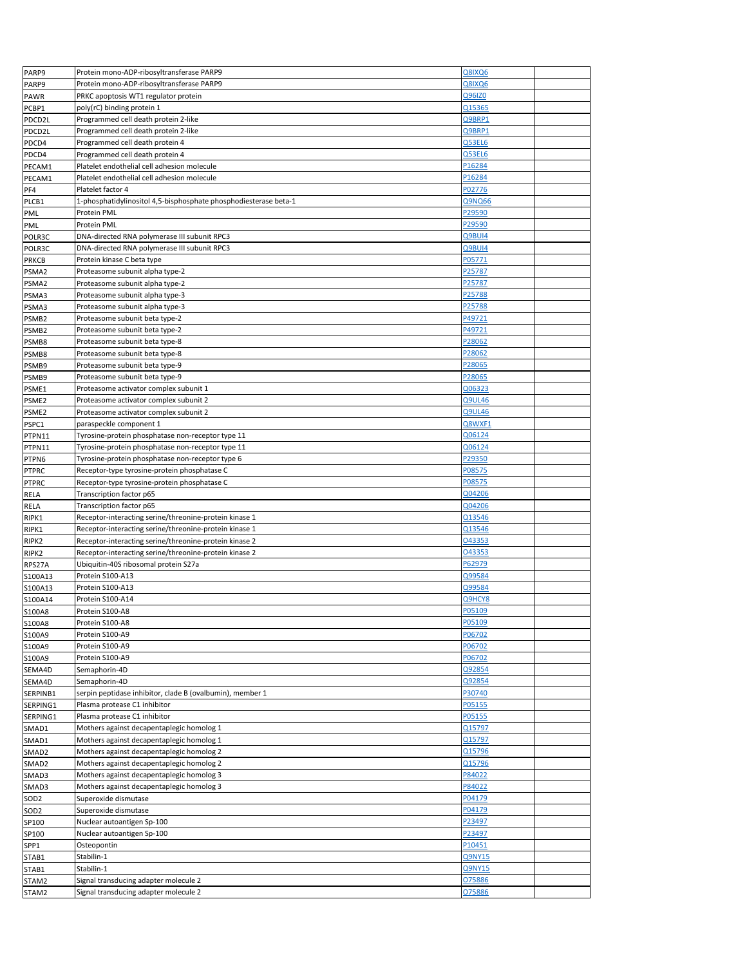| PARP9             | Protein mono-ADP-ribosyltransferase PARP9                        | Q8IXQ6        |  |
|-------------------|------------------------------------------------------------------|---------------|--|
| PARP9             | Protein mono-ADP-ribosyltransferase PARP9                        | Q8IXQ6        |  |
| PAWR              | PRKC apoptosis WT1 regulator protein                             | Q96IZ0        |  |
| PCBP1             | poly(rC) binding protein 1                                       | Q15365        |  |
|                   |                                                                  |               |  |
| PDCD2L            | Programmed cell death protein 2-like                             | Q9BRP1        |  |
| PDCD2L            | Programmed cell death protein 2-like                             | O9BRP1        |  |
| PDCD4             | Programmed cell death protein 4                                  | Q53EL6        |  |
| PDCD4             | Programmed cell death protein 4                                  | Q53EL6        |  |
| PECAM1            | Platelet endothelial cell adhesion molecule                      | P16284        |  |
|                   |                                                                  |               |  |
| PECAM1            | Platelet endothelial cell adhesion molecule                      | P16284        |  |
| PF4               | Platelet factor 4                                                | P02776        |  |
| PLCB1             | 1-phosphatidylinositol 4,5-bisphosphate phosphodiesterase beta-1 | Q9NQ66        |  |
| PML               | Protein PML                                                      | P29590        |  |
| PML               | Protein PML                                                      | P29590        |  |
|                   | DNA-directed RNA polymerase III subunit RPC3                     | Q9BUI4        |  |
| POLR3C            |                                                                  |               |  |
| POLR3C            | DNA-directed RNA polymerase III subunit RPC3                     | Q9BUI4        |  |
| <b>PRKCB</b>      | Protein kinase C beta type                                       | P05771        |  |
| PSMA2             | Proteasome subunit alpha type-2                                  | P25787        |  |
| PSMA2             | Proteasome subunit alpha type-2                                  | P25787        |  |
| PSMA3             | Proteasome subunit alpha type-3                                  | P25788        |  |
|                   |                                                                  |               |  |
| PSMA3             | Proteasome subunit alpha type-3                                  | P25788        |  |
| PSMB <sub>2</sub> | Proteasome subunit beta type-2                                   | P49721        |  |
| PSMB <sub>2</sub> | Proteasome subunit beta type-2                                   | P49721        |  |
| PSMB8             | Proteasome subunit beta type-8                                   | P28062        |  |
| PSMB8             | Proteasome subunit beta type-8                                   | P28062        |  |
|                   | Proteasome subunit beta type-9                                   | P28065        |  |
| PSMB9             |                                                                  |               |  |
| PSMB9             | Proteasome subunit beta type-9                                   | P28065        |  |
| PSME1             | Proteasome activator complex subunit 1                           | Q06323        |  |
| PSME <sub>2</sub> | Proteasome activator complex subunit 2                           | Q9UL46        |  |
| PSME2             | Proteasome activator complex subunit 2                           | <b>Q9UL46</b> |  |
| PSPC1             | paraspeckle component 1                                          | Q8WXF1        |  |
|                   |                                                                  |               |  |
| PTPN11            | Tyrosine-protein phosphatase non-receptor type 11                | Q06124        |  |
| PTPN11            | Tyrosine-protein phosphatase non-receptor type 11                | Q06124        |  |
| PTPN6             | Tyrosine-protein phosphatase non-receptor type 6                 | P29350        |  |
| <b>PTPRC</b>      | Receptor-type tyrosine-protein phosphatase C                     | P08575        |  |
| <b>PTPRC</b>      | Receptor-type tyrosine-protein phosphatase C                     | P08575        |  |
|                   |                                                                  | Q04206        |  |
| RELA              | Transcription factor p65                                         |               |  |
| RELA              | Transcription factor p65                                         | Q04206        |  |
| RIPK1             | Receptor-interacting serine/threonine-protein kinase 1           | Q13546        |  |
| RIPK1             | Receptor-interacting serine/threonine-protein kinase 1           | Q13546        |  |
| RIPK2             | Receptor-interacting serine/threonine-protein kinase 2           | 043353        |  |
| RIPK2             | Receptor-interacting serine/threonine-protein kinase 2           | 043353        |  |
|                   |                                                                  | P62979        |  |
| RPS27A            | Ubiquitin-40S ribosomal protein S27a                             |               |  |
| S100A13           | Protein S100-A13                                                 | Q99584        |  |
| S100A13           | Protein S100-A13                                                 | Q99584        |  |
| S100A14           | Protein S100-A14                                                 | Q9HCY8        |  |
| S100A8            | Protein S100-A8                                                  | P05109        |  |
|                   |                                                                  | P05109        |  |
| S100A8            | Protein S100-A8                                                  |               |  |
| S100A9            | Protein S100-A9                                                  | P06702        |  |
| S100A9            | Protein S100-A9                                                  | P06702        |  |
| S100A9            | Protein S100-A9                                                  | P06702        |  |
| SEMA4D            | Semaphorin-4D                                                    | Q92854        |  |
| SEMA4D            | Semaphorin-4D                                                    | Q92854        |  |
|                   |                                                                  | P30740        |  |
| SERPINB1          | serpin peptidase inhibitor, clade B (ovalbumin), member 1        |               |  |
| SERPING1          | Plasma protease C1 inhibitor                                     | P05155        |  |
| SERPING1          | Plasma protease C1 inhibitor                                     | P05155        |  |
| SMAD1             | Mothers against decapentaplegic homolog 1                        | Q15797        |  |
| SMAD1             | Mothers against decapentaplegic homolog 1                        | Q15797        |  |
| SMAD2             | Mothers against decapentaplegic homolog 2                        | Q15796        |  |
|                   |                                                                  |               |  |
| SMAD <sub>2</sub> | Mothers against decapentaplegic homolog 2                        | Q15796        |  |
| SMAD3             | Mothers against decapentaplegic homolog 3                        | P84022        |  |
| SMAD3             | Mothers against decapentaplegic homolog 3                        | P84022        |  |
| SOD <sub>2</sub>  | Superoxide dismutase                                             | P04179        |  |
| SOD <sub>2</sub>  | Superoxide dismutase                                             | P04179        |  |
|                   | Nuclear autoantigen Sp-100                                       | P23497        |  |
| SP100             |                                                                  |               |  |
| SP100             | Nuclear autoantigen Sp-100                                       | P23497        |  |
| SPP1              | Osteopontin                                                      | P10451        |  |
| STAB1             | Stabilin-1                                                       | Q9NY15        |  |
| STAB1             | Stabilin-1                                                       | Q9NY15        |  |
| STAM2             | Signal transducing adapter molecule 2                            | 075886        |  |
|                   |                                                                  |               |  |
| STAM2             | Signal transducing adapter molecule 2                            | 075886        |  |